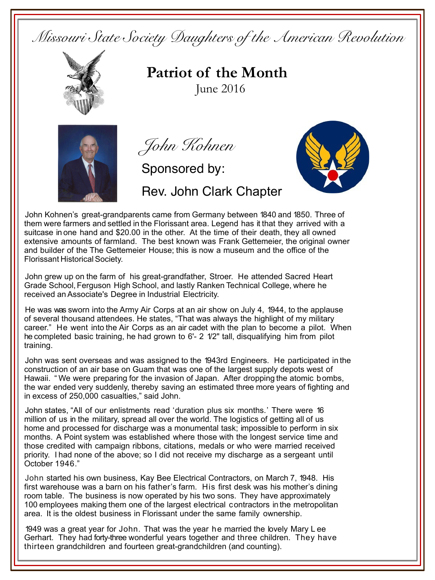*Missouri State Society Daughters of the American Revolution* 



**Patriot of the Month**June 2016

Rev. John Clark Chapter



*John Kohnen*

Sponsored by:



John Kohnen's great-grandparents came from Germany between 1840 and 1850. Three of them were farmers and settled in the Florissant area. Legend has it that they arrived with a suitcase in one hand and \$20.00 in the other. At the time of their death, they all owned extensive amounts of farmland. The best known was Frank Gettemeier, the original owner and builder of the The Gettemeier House; this is now a museum and the office of the Florissant Historical Society.

John grew up on the farm of his great-grandfather, Stroer. He attended Sacred Heart Grade School,Ferguson High School, and lastly Ranken Technical College, where he received anAssociate's Degree in Industrial Electricity.

He was was sworn into the Army Air Corps at an air show on July 4, 1944, to the applause of several thousand attendees. He states, "That was always the highlight of my military career." He went into the Air Corps as an air cadet with the plan to become a pilot. When he completed basic training, he had grown to 6'- 2 1/2" tall, disqualifying him from pilot training.

John was sent overseas and was assigned to the 1943rd Engineers. He participated in the construction of an air base on Guam that was one of the largest supply depots west of Hawaii. " We were preparing for the invasion of Japan. After dropping the atomic bombs, the war ended very suddenly, thereby saving an estimated three more years of fighting and in excess of 250,000 casualties," said John.

John states, "All of our enlistments read 'duration plus six months.' There were 16 million of us in the military, spread all over the world. The logistics of getting all of us home and processed for discharge was a monumental task; impossible to perform in six months. A Point system was established where those with the longest service time and those credited with campaign ribbons, citations, medals or who were married received priority. I had none of the above; so I did not receive my discharge as a sergeant until October 1946."

John started his own business, Kay Bee Electrical Contractors, on March 7, 1948. His first warehouse was a barn on his father's farm. His first desk was his mother's dining room table. The business is now operated by his two sons. They have approximately 100 employees making them one of the largest electrical contractors in the metropolitan area. It is the oldest business in Florissant under the same family ownership.

1949 was a great year for John. That was the year he married the lovely Mary L ee Gerhart. They had forty-three wonderful years together and three children. They have thirteen grandchildren and fourteen great-grandchildren (and counting).